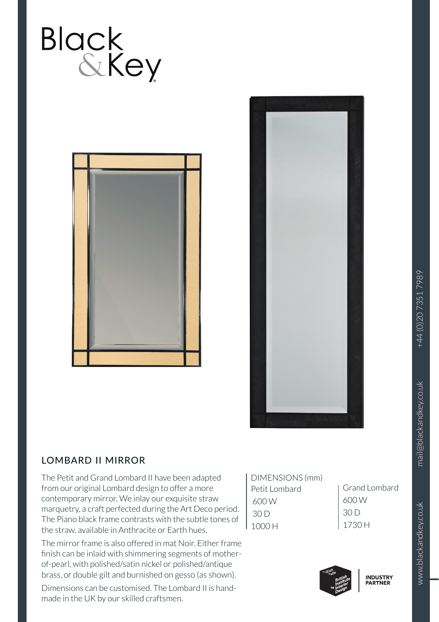





## LOMBARD II MIRROR

The Petit and Grand Lombard II have been adapted from our original Lombard design to offer a more contemporary mirror. We inlay our exquisite straw marquetry, a craft perfected during the Art Deco period. The Piano black frame contrasts with the subtle tones of the straw, available in Anthracite or Earth hues.

The mirror frame is also offered in mat Noir. Either frame finish can be inlaid with shimmering segments of motherof-pearl, with polished/satin nickel or polished/antique brass, or double gilt and burnished on gesso (as shown).

Dimensions can be customised. The Lombard II is handmade in the UK by our skilled craftsmen.

| DIMENSIONS (mm) |  |
|-----------------|--|
| Petit Lombard   |  |
| 600 W           |  |
| 30 D            |  |
| 1000H           |  |

Grand Lombard 600 W 30 D 1730 H



www.blackandkey.co.uk